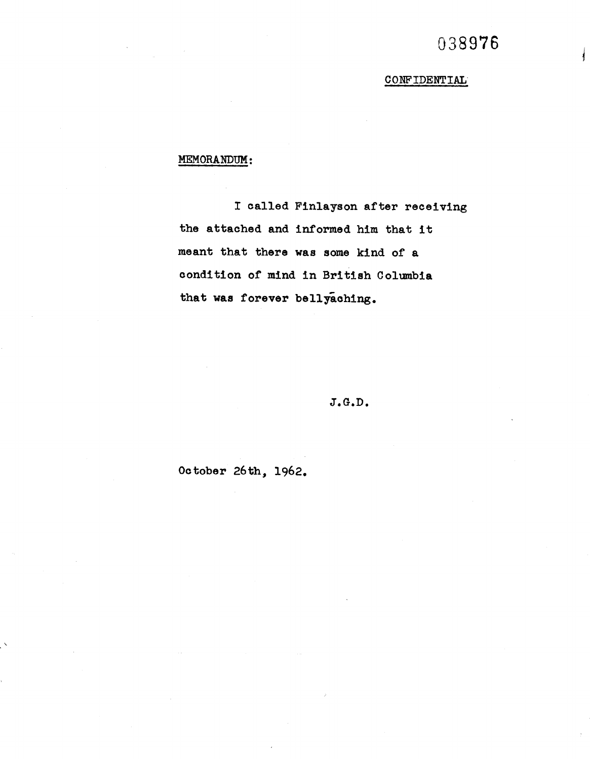## 038976

CONFIDENTIAL

## MEMORANDUM:

I called Finlayson after receiving the attached and informed him that it meant that there was some kind of a condition of mind in British Columbia that was forever bellyaching.

 $J.G.D.$ 

October 26th, 1962.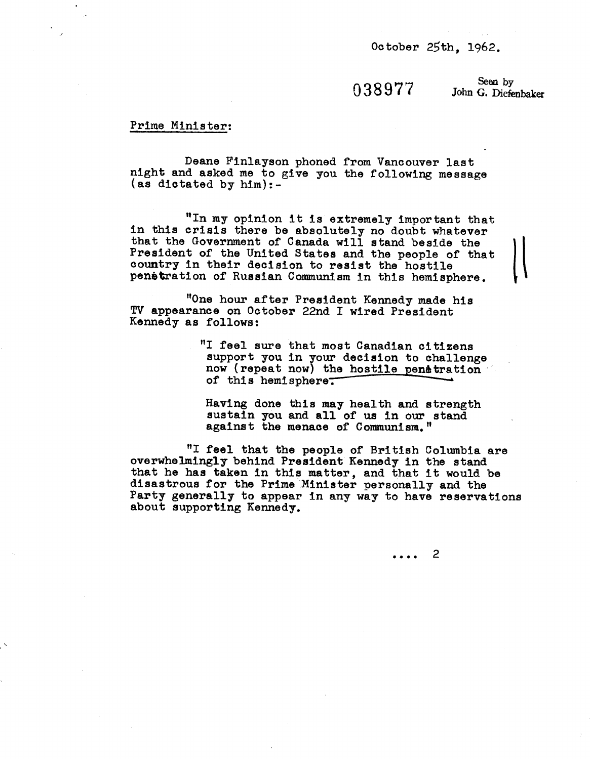October 25th, 1962.

 $038977$  Seen by John G. Diefenbaker

## Prime Minister:

Deane Finlayson phoned from Vancouver last night and asked me to give you the following message (as dictated by him):-

"In my opinion it is extremely important that in this crisis there be absolutely no doubt whatever "In my opinion it is extremely important that<br>in this crisis there be absolutely no doubt whatever<br>that the Government of Canada will stand beside the left<br>president of the United States and the people of that President of the United States and the people of that country in their decision to resist the hostile penetration of Russian Communism in this hemisphere.

"One hour after President Kennedy made his TV appearance on October 22nd I wired President Kennedy as follows:

> "I feel sure that most Canadian citizens support you in your decision to challenge now (repeat now) the hostile penetration of this hemisphere.

Having done this may health and strength sustain you and all of us in our stand against the menace of Communism."

"I feel that the people of British Columbia are overwhelmingly behind President Kennedy in the stand that he has taken in this matter, and that it would be disastrous for the Prime Minister personally and the Party generally to appear in any way to have reservations about supporting Kennedy.

> $\overline{2}$  $\overline{a}$